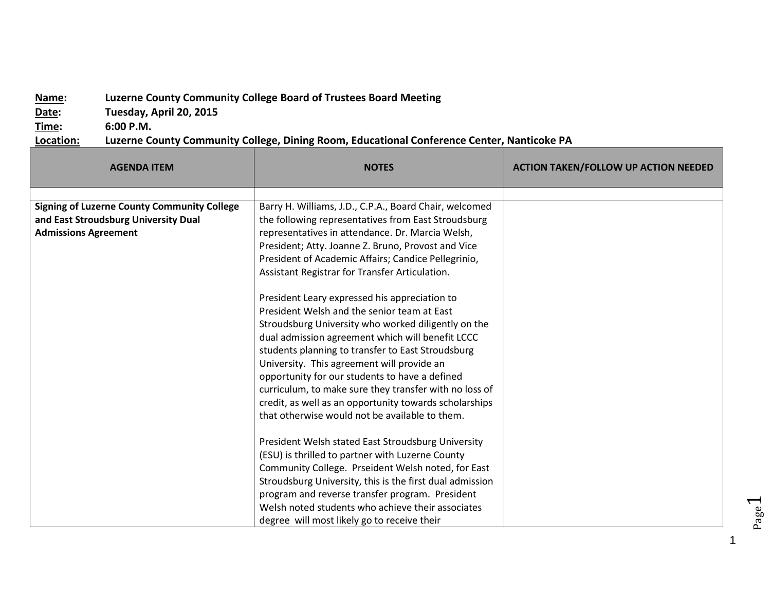## **Name: Luzerne County Community College Board of Trustees Board Meeting**

**Date: Tuesday, April 20, 2015**

**Time: 6:00 P.M.**

**Location: Luzerne County Community College, Dining Room, Educational Conference Center, Nanticoke PA**

| <b>AGENDA ITEM</b>                                 | <b>NOTES</b>                                             | <b>ACTION TAKEN/FOLLOW UP ACTION NEEDED</b> |
|----------------------------------------------------|----------------------------------------------------------|---------------------------------------------|
|                                                    |                                                          |                                             |
| <b>Signing of Luzerne County Community College</b> | Barry H. Williams, J.D., C.P.A., Board Chair, welcomed   |                                             |
| and East Stroudsburg University Dual               | the following representatives from East Stroudsburg      |                                             |
| <b>Admissions Agreement</b>                        | representatives in attendance. Dr. Marcia Welsh,         |                                             |
|                                                    | President; Atty. Joanne Z. Bruno, Provost and Vice       |                                             |
|                                                    | President of Academic Affairs; Candice Pellegrinio,      |                                             |
|                                                    | Assistant Registrar for Transfer Articulation.           |                                             |
|                                                    | President Leary expressed his appreciation to            |                                             |
|                                                    | President Welsh and the senior team at East              |                                             |
|                                                    | Stroudsburg University who worked diligently on the      |                                             |
|                                                    | dual admission agreement which will benefit LCCC         |                                             |
|                                                    | students planning to transfer to East Stroudsburg        |                                             |
|                                                    | University. This agreement will provide an               |                                             |
|                                                    | opportunity for our students to have a defined           |                                             |
|                                                    | curriculum, to make sure they transfer with no loss of   |                                             |
|                                                    | credit, as well as an opportunity towards scholarships   |                                             |
|                                                    | that otherwise would not be available to them.           |                                             |
|                                                    | President Welsh stated East Stroudsburg University       |                                             |
|                                                    | (ESU) is thrilled to partner with Luzerne County         |                                             |
|                                                    | Community College. Prseident Welsh noted, for East       |                                             |
|                                                    | Stroudsburg University, this is the first dual admission |                                             |
|                                                    | program and reverse transfer program. President          |                                             |
|                                                    | Welsh noted students who achieve their associates        |                                             |
|                                                    | degree will most likely go to receive their              |                                             |

Page  $\overline{\phantom{0}}$ 

1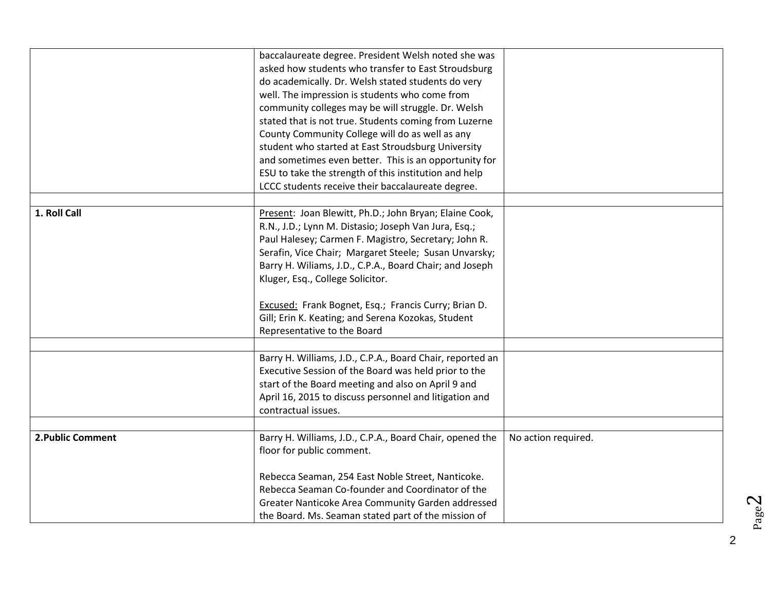|                   | baccalaureate degree. President Welsh noted she was       |                     |
|-------------------|-----------------------------------------------------------|---------------------|
|                   | asked how students who transfer to East Stroudsburg       |                     |
|                   | do academically. Dr. Welsh stated students do very        |                     |
|                   | well. The impression is students who come from            |                     |
|                   | community colleges may be will struggle. Dr. Welsh        |                     |
|                   | stated that is not true. Students coming from Luzerne     |                     |
|                   | County Community College will do as well as any           |                     |
|                   | student who started at East Stroudsburg University        |                     |
|                   | and sometimes even better. This is an opportunity for     |                     |
|                   | ESU to take the strength of this institution and help     |                     |
|                   | LCCC students receive their baccalaureate degree.         |                     |
|                   |                                                           |                     |
| 1. Roll Call      | Present: Joan Blewitt, Ph.D.; John Bryan; Elaine Cook,    |                     |
|                   | R.N., J.D.; Lynn M. Distasio; Joseph Van Jura, Esq.;      |                     |
|                   | Paul Halesey; Carmen F. Magistro, Secretary; John R.      |                     |
|                   | Serafin, Vice Chair; Margaret Steele; Susan Unvarsky;     |                     |
|                   | Barry H. Wiliams, J.D., C.P.A., Board Chair; and Joseph   |                     |
|                   | Kluger, Esq., College Solicitor.                          |                     |
|                   |                                                           |                     |
|                   | Excused: Frank Bognet, Esq.; Francis Curry; Brian D.      |                     |
|                   | Gill; Erin K. Keating; and Serena Kozokas, Student        |                     |
|                   | Representative to the Board                               |                     |
|                   |                                                           |                     |
|                   | Barry H. Williams, J.D., C.P.A., Board Chair, reported an |                     |
|                   | Executive Session of the Board was held prior to the      |                     |
|                   | start of the Board meeting and also on April 9 and        |                     |
|                   | April 16, 2015 to discuss personnel and litigation and    |                     |
|                   | contractual issues.                                       |                     |
|                   |                                                           |                     |
| 2. Public Comment | Barry H. Williams, J.D., C.P.A., Board Chair, opened the  | No action required. |
|                   | floor for public comment.                                 |                     |
|                   |                                                           |                     |
|                   | Rebecca Seaman, 254 East Noble Street, Nanticoke.         |                     |
|                   | Rebecca Seaman Co-founder and Coordinator of the          |                     |
|                   | Greater Nanticoke Area Community Garden addressed         |                     |
|                   | the Board. Ms. Seaman stated part of the mission of       |                     |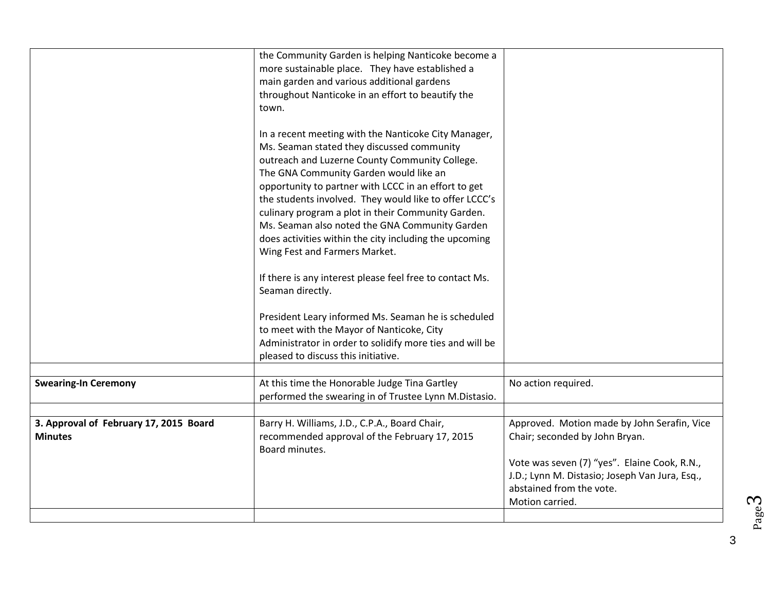|                                                          | the Community Garden is helping Nanticoke become a<br>more sustainable place. They have established a<br>main garden and various additional gardens<br>throughout Nanticoke in an effort to beautify the<br>town.<br>In a recent meeting with the Nanticoke City Manager,<br>Ms. Seaman stated they discussed community<br>outreach and Luzerne County Community College.<br>The GNA Community Garden would like an<br>opportunity to partner with LCCC in an effort to get |                                                                                                                                                                                                                                |
|----------------------------------------------------------|-----------------------------------------------------------------------------------------------------------------------------------------------------------------------------------------------------------------------------------------------------------------------------------------------------------------------------------------------------------------------------------------------------------------------------------------------------------------------------|--------------------------------------------------------------------------------------------------------------------------------------------------------------------------------------------------------------------------------|
|                                                          | the students involved. They would like to offer LCCC's<br>culinary program a plot in their Community Garden.<br>Ms. Seaman also noted the GNA Community Garden<br>does activities within the city including the upcoming<br>Wing Fest and Farmers Market.                                                                                                                                                                                                                   |                                                                                                                                                                                                                                |
|                                                          | If there is any interest please feel free to contact Ms.<br>Seaman directly.<br>President Leary informed Ms. Seaman he is scheduled<br>to meet with the Mayor of Nanticoke, City<br>Administrator in order to solidify more ties and will be<br>pleased to discuss this initiative.                                                                                                                                                                                         |                                                                                                                                                                                                                                |
| <b>Swearing-In Ceremony</b>                              | At this time the Honorable Judge Tina Gartley<br>performed the swearing in of Trustee Lynn M.Distasio.                                                                                                                                                                                                                                                                                                                                                                      | No action required.                                                                                                                                                                                                            |
| 3. Approval of February 17, 2015 Board<br><b>Minutes</b> | Barry H. Williams, J.D., C.P.A., Board Chair,<br>recommended approval of the February 17, 2015<br>Board minutes.                                                                                                                                                                                                                                                                                                                                                            | Approved. Motion made by John Serafin, Vice<br>Chair; seconded by John Bryan.<br>Vote was seven (7) "yes". Elaine Cook, R.N.,<br>J.D.; Lynn M. Distasio; Joseph Van Jura, Esq.,<br>abstained from the vote.<br>Motion carried. |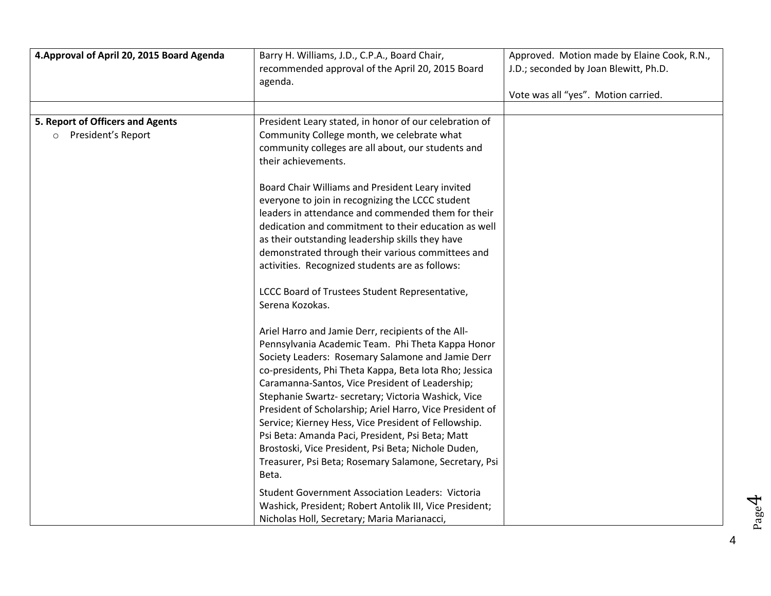| 4. Approval of April 20, 2015 Board Agenda               | Barry H. Williams, J.D., C.P.A., Board Chair,<br>recommended approval of the April 20, 2015 Board<br>agenda.                                                                                                                                                                                                                                                                                                                                                                                                                                                                                                                       | Approved. Motion made by Elaine Cook, R.N.,<br>J.D.; seconded by Joan Blewitt, Ph.D.<br>Vote was all "yes". Motion carried. |
|----------------------------------------------------------|------------------------------------------------------------------------------------------------------------------------------------------------------------------------------------------------------------------------------------------------------------------------------------------------------------------------------------------------------------------------------------------------------------------------------------------------------------------------------------------------------------------------------------------------------------------------------------------------------------------------------------|-----------------------------------------------------------------------------------------------------------------------------|
| 5. Report of Officers and Agents<br>o President's Report | President Leary stated, in honor of our celebration of<br>Community College month, we celebrate what<br>community colleges are all about, our students and<br>their achievements.<br>Board Chair Williams and President Leary invited<br>everyone to join in recognizing the LCCC student<br>leaders in attendance and commended them for their                                                                                                                                                                                                                                                                                    |                                                                                                                             |
|                                                          | dedication and commitment to their education as well<br>as their outstanding leadership skills they have<br>demonstrated through their various committees and<br>activities. Recognized students are as follows:<br>LCCC Board of Trustees Student Representative,<br>Serena Kozokas.                                                                                                                                                                                                                                                                                                                                              |                                                                                                                             |
|                                                          | Ariel Harro and Jamie Derr, recipients of the All-<br>Pennsylvania Academic Team. Phi Theta Kappa Honor<br>Society Leaders: Rosemary Salamone and Jamie Derr<br>co-presidents, Phi Theta Kappa, Beta Iota Rho; Jessica<br>Caramanna-Santos, Vice President of Leadership;<br>Stephanie Swartz- secretary; Victoria Washick, Vice<br>President of Scholarship; Ariel Harro, Vice President of<br>Service; Kierney Hess, Vice President of Fellowship.<br>Psi Beta: Amanda Paci, President, Psi Beta; Matt<br>Brostoski, Vice President, Psi Beta; Nichole Duden,<br>Treasurer, Psi Beta; Rosemary Salamone, Secretary, Psi<br>Beta. |                                                                                                                             |
|                                                          | <b>Student Government Association Leaders: Victoria</b><br>Washick, President; Robert Antolik III, Vice President;<br>Nicholas Holl, Secretary; Maria Marianacci,                                                                                                                                                                                                                                                                                                                                                                                                                                                                  |                                                                                                                             |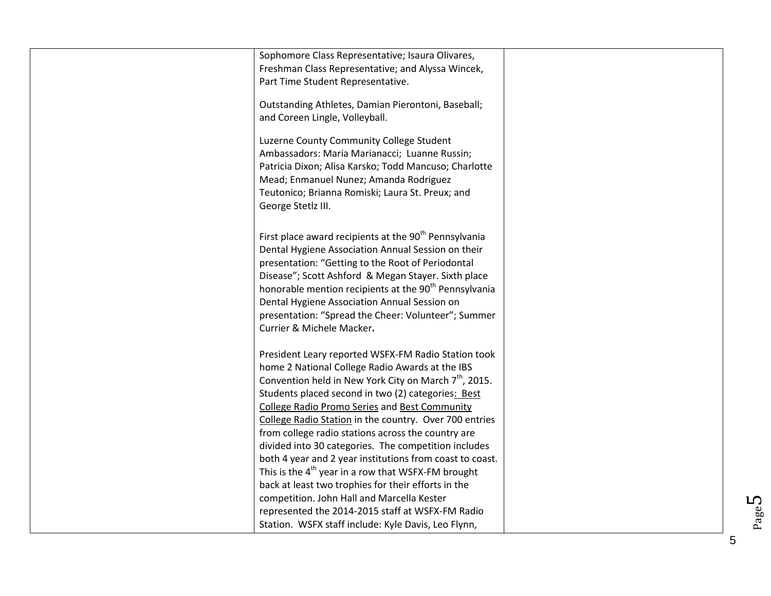| Sophomore Class Representative; Isaura Olivares,<br>Freshman Class Representative; and Alyssa Wincek,<br>Part Time Student Representative.                                                                                                                                                                                                                                                                                                   |  |
|----------------------------------------------------------------------------------------------------------------------------------------------------------------------------------------------------------------------------------------------------------------------------------------------------------------------------------------------------------------------------------------------------------------------------------------------|--|
| Outstanding Athletes, Damian Pierontoni, Baseball;<br>and Coreen Lingle, Volleyball.                                                                                                                                                                                                                                                                                                                                                         |  |
| Luzerne County Community College Student<br>Ambassadors: Maria Marianacci; Luanne Russin;<br>Patricia Dixon; Alisa Karsko; Todd Mancuso; Charlotte<br>Mead; Enmanuel Nunez; Amanda Rodriguez<br>Teutonico; Brianna Romiski; Laura St. Preux; and<br>George Stetlz III.                                                                                                                                                                       |  |
| First place award recipients at the 90 <sup>th</sup> Pennsylvania<br>Dental Hygiene Association Annual Session on their<br>presentation: "Getting to the Root of Periodontal<br>Disease"; Scott Ashford & Megan Stayer. Sixth place<br>honorable mention recipients at the 90 <sup>th</sup> Pennsylvania<br>Dental Hygiene Association Annual Session on<br>presentation: "Spread the Cheer: Volunteer"; Summer<br>Currier & Michele Macker. |  |
| President Leary reported WSFX-FM Radio Station took<br>home 2 National College Radio Awards at the IBS                                                                                                                                                                                                                                                                                                                                       |  |
| Convention held in New York City on March 7 <sup>th</sup> , 2015.                                                                                                                                                                                                                                                                                                                                                                            |  |
| Students placed second in two (2) categories: Best                                                                                                                                                                                                                                                                                                                                                                                           |  |
| <b>College Radio Promo Series and Best Community</b>                                                                                                                                                                                                                                                                                                                                                                                         |  |
| College Radio Station in the country. Over 700 entries                                                                                                                                                                                                                                                                                                                                                                                       |  |
| from college radio stations across the country are                                                                                                                                                                                                                                                                                                                                                                                           |  |
| divided into 30 categories. The competition includes                                                                                                                                                                                                                                                                                                                                                                                         |  |
| both 4 year and 2 year institutions from coast to coast.<br>This is the $4^{th}$ year in a row that WSFX-FM brought                                                                                                                                                                                                                                                                                                                          |  |
| back at least two trophies for their efforts in the                                                                                                                                                                                                                                                                                                                                                                                          |  |
| competition. John Hall and Marcella Kester                                                                                                                                                                                                                                                                                                                                                                                                   |  |
| represented the 2014-2015 staff at WSFX-FM Radio                                                                                                                                                                                                                                                                                                                                                                                             |  |
| Station. WSFX staff include: Kyle Davis, Leo Flynn,                                                                                                                                                                                                                                                                                                                                                                                          |  |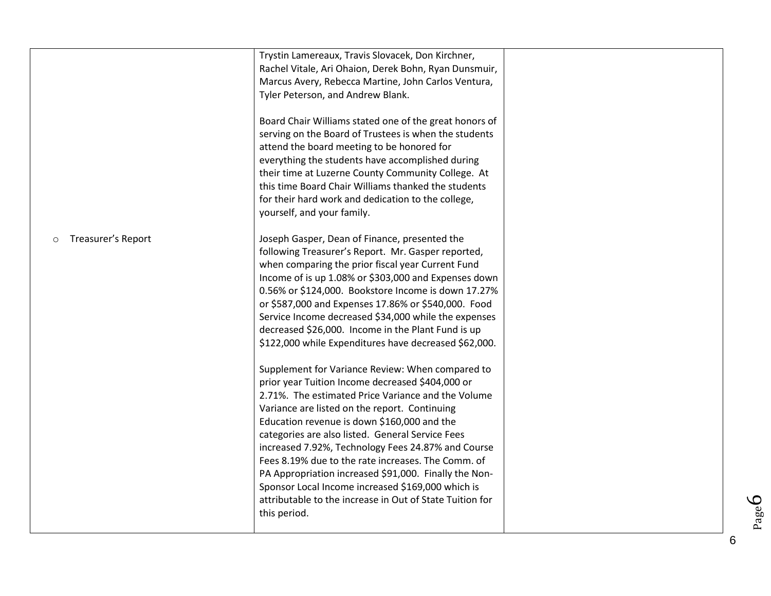|                               | Trystin Lamereaux, Travis Slovacek, Don Kirchner,                                                             |  |
|-------------------------------|---------------------------------------------------------------------------------------------------------------|--|
|                               | Rachel Vitale, Ari Ohaion, Derek Bohn, Ryan Dunsmuir,                                                         |  |
|                               | Marcus Avery, Rebecca Martine, John Carlos Ventura,                                                           |  |
|                               | Tyler Peterson, and Andrew Blank.                                                                             |  |
|                               |                                                                                                               |  |
|                               | Board Chair Williams stated one of the great honors of                                                        |  |
|                               | serving on the Board of Trustees is when the students                                                         |  |
|                               | attend the board meeting to be honored for                                                                    |  |
|                               | everything the students have accomplished during                                                              |  |
|                               | their time at Luzerne County Community College. At                                                            |  |
|                               | this time Board Chair Williams thanked the students                                                           |  |
|                               | for their hard work and dedication to the college,                                                            |  |
|                               | yourself, and your family.                                                                                    |  |
|                               |                                                                                                               |  |
| Treasurer's Report<br>$\circ$ | Joseph Gasper, Dean of Finance, presented the                                                                 |  |
|                               | following Treasurer's Report. Mr. Gasper reported,                                                            |  |
|                               | when comparing the prior fiscal year Current Fund                                                             |  |
|                               | Income of is up 1.08% or \$303,000 and Expenses down                                                          |  |
|                               | 0.56% or \$124,000. Bookstore Income is down 17.27%                                                           |  |
|                               | or \$587,000 and Expenses 17.86% or \$540,000. Food                                                           |  |
|                               | Service Income decreased \$34,000 while the expenses                                                          |  |
|                               | decreased \$26,000. Income in the Plant Fund is up                                                            |  |
|                               | \$122,000 while Expenditures have decreased \$62,000.                                                         |  |
|                               |                                                                                                               |  |
|                               | Supplement for Variance Review: When compared to                                                              |  |
|                               | prior year Tuition Income decreased \$404,000 or                                                              |  |
|                               | 2.71%. The estimated Price Variance and the Volume                                                            |  |
|                               | Variance are listed on the report. Continuing                                                                 |  |
|                               | Education revenue is down \$160,000 and the                                                                   |  |
|                               | categories are also listed. General Service Fees                                                              |  |
|                               | increased 7.92%, Technology Fees 24.87% and Course                                                            |  |
|                               | Fees 8.19% due to the rate increases. The Comm. of                                                            |  |
|                               |                                                                                                               |  |
|                               | PA Appropriation increased \$91,000. Finally the Non-                                                         |  |
|                               | Sponsor Local Income increased \$169,000 which is<br>attributable to the increase in Out of State Tuition for |  |
|                               |                                                                                                               |  |
|                               | this period.                                                                                                  |  |
|                               |                                                                                                               |  |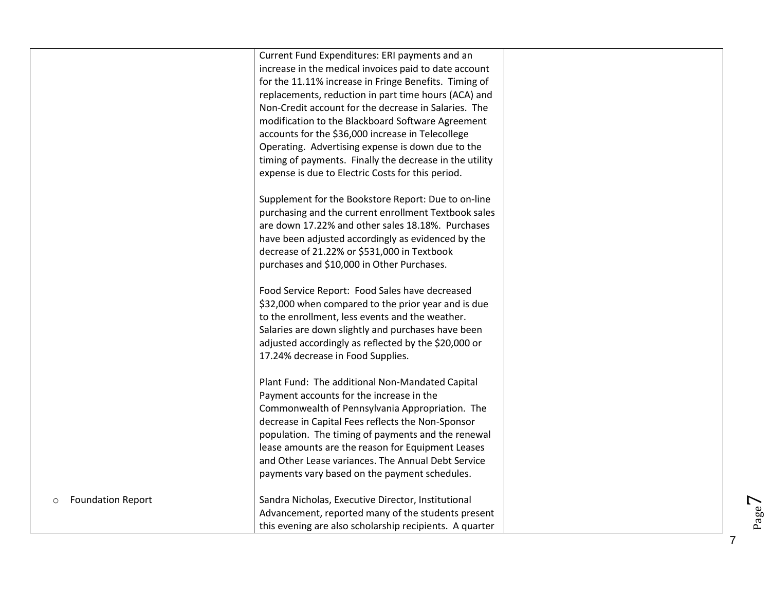|                                     | Current Fund Expenditures: ERI payments and an<br>increase in the medical invoices paid to date account<br>for the 11.11% increase in Fringe Benefits. Timing of<br>replacements, reduction in part time hours (ACA) and<br>Non-Credit account for the decrease in Salaries. The<br>modification to the Blackboard Software Agreement<br>accounts for the \$36,000 increase in Telecollege<br>Operating. Advertising expense is down due to the<br>timing of payments. Finally the decrease in the utility<br>expense is due to Electric Costs for this period.<br>Supplement for the Bookstore Report: Due to on-line<br>purchasing and the current enrollment Textbook sales<br>are down 17.22% and other sales 18.18%. Purchases<br>have been adjusted accordingly as evidenced by the |  |
|-------------------------------------|-------------------------------------------------------------------------------------------------------------------------------------------------------------------------------------------------------------------------------------------------------------------------------------------------------------------------------------------------------------------------------------------------------------------------------------------------------------------------------------------------------------------------------------------------------------------------------------------------------------------------------------------------------------------------------------------------------------------------------------------------------------------------------------------|--|
|                                     | decrease of 21.22% or \$531,000 in Textbook<br>purchases and \$10,000 in Other Purchases.<br>Food Service Report: Food Sales have decreased<br>\$32,000 when compared to the prior year and is due<br>to the enrollment, less events and the weather.<br>Salaries are down slightly and purchases have been<br>adjusted accordingly as reflected by the \$20,000 or<br>17.24% decrease in Food Supplies.                                                                                                                                                                                                                                                                                                                                                                                  |  |
|                                     | Plant Fund: The additional Non-Mandated Capital<br>Payment accounts for the increase in the<br>Commonwealth of Pennsylvania Appropriation. The<br>decrease in Capital Fees reflects the Non-Sponsor<br>population. The timing of payments and the renewal<br>lease amounts are the reason for Equipment Leases<br>and Other Lease variances. The Annual Debt Service<br>payments vary based on the payment schedules.                                                                                                                                                                                                                                                                                                                                                                     |  |
| <b>Foundation Report</b><br>$\circ$ | Sandra Nicholas, Executive Director, Institutional<br>Advancement, reported many of the students present<br>this evening are also scholarship recipients. A quarter                                                                                                                                                                                                                                                                                                                                                                                                                                                                                                                                                                                                                       |  |

7

Page

 $\blacktriangleright$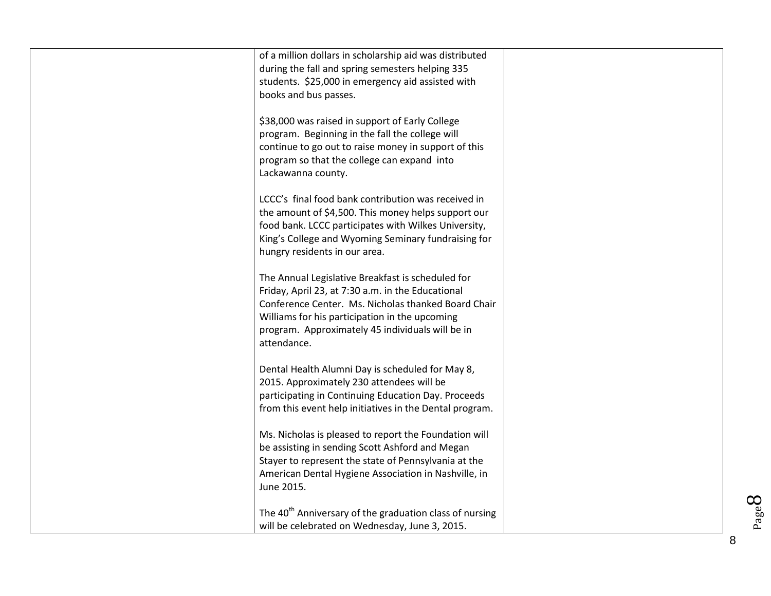| The 40 <sup>th</sup> Anniversary of the graduation class of nursing<br>will be celebrated on Wednesday, June 3, 2015. |  |
|-----------------------------------------------------------------------------------------------------------------------|--|
|                                                                                                                       |  |
| American Dental Hygiene Association in Nashville, in<br>June 2015.                                                    |  |
| Stayer to represent the state of Pennsylvania at the                                                                  |  |
| be assisting in sending Scott Ashford and Megan                                                                       |  |
| Ms. Nicholas is pleased to report the Foundation will                                                                 |  |
| from this event help initiatives in the Dental program.                                                               |  |
| participating in Continuing Education Day. Proceeds                                                                   |  |
| Dental Health Alumni Day is scheduled for May 8,<br>2015. Approximately 230 attendees will be                         |  |
|                                                                                                                       |  |
| attendance.                                                                                                           |  |
| Williams for his participation in the upcoming<br>program. Approximately 45 individuals will be in                    |  |
| Conference Center. Ms. Nicholas thanked Board Chair                                                                   |  |
| The Annual Legislative Breakfast is scheduled for<br>Friday, April 23, at 7:30 a.m. in the Educational                |  |
|                                                                                                                       |  |
| hungry residents in our area.                                                                                         |  |
| food bank. LCCC participates with Wilkes University,<br>King's College and Wyoming Seminary fundraising for           |  |
| the amount of \$4,500. This money helps support our                                                                   |  |
| LCCC's final food bank contribution was received in                                                                   |  |
| Lackawanna county.                                                                                                    |  |
| program so that the college can expand into                                                                           |  |
| continue to go out to raise money in support of this                                                                  |  |
| \$38,000 was raised in support of Early College<br>program. Beginning in the fall the college will                    |  |
|                                                                                                                       |  |
| books and bus passes.                                                                                                 |  |
| during the fall and spring semesters helping 335<br>students. \$25,000 in emergency aid assisted with                 |  |
| of a million dollars in scholarship aid was distributed                                                               |  |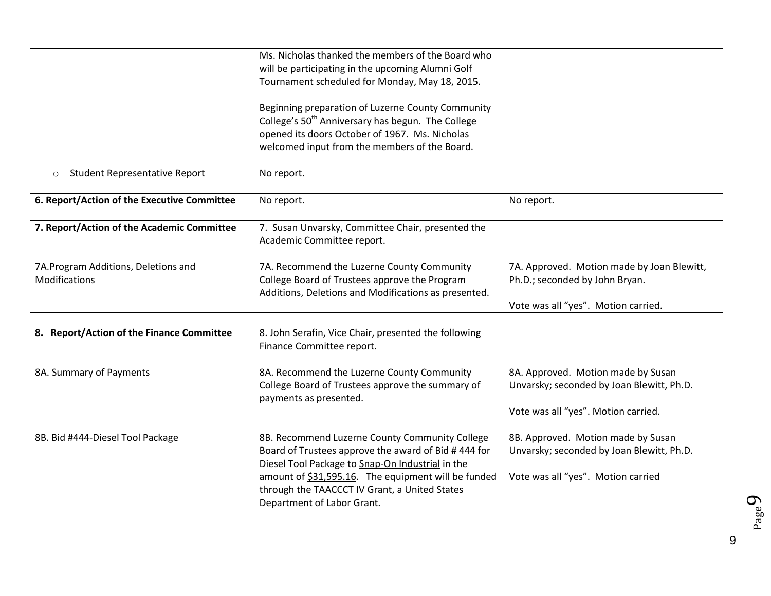|                                                      | Ms. Nicholas thanked the members of the Board who<br>will be participating in the upcoming Alumni Golf<br>Tournament scheduled for Monday, May 18, 2015.<br>Beginning preparation of Luzerne County Community<br>College's 50 <sup>th</sup> Anniversary has begun. The College<br>opened its doors October of 1967. Ms. Nicholas<br>welcomed input from the members of the Board. |                                                                                                                        |
|------------------------------------------------------|-----------------------------------------------------------------------------------------------------------------------------------------------------------------------------------------------------------------------------------------------------------------------------------------------------------------------------------------------------------------------------------|------------------------------------------------------------------------------------------------------------------------|
| <b>Student Representative Report</b><br>$\circ$      | No report.                                                                                                                                                                                                                                                                                                                                                                        |                                                                                                                        |
| 6. Report/Action of the Executive Committee          | No report.                                                                                                                                                                                                                                                                                                                                                                        | No report.                                                                                                             |
| 7. Report/Action of the Academic Committee           | 7. Susan Unvarsky, Committee Chair, presented the<br>Academic Committee report.                                                                                                                                                                                                                                                                                                   |                                                                                                                        |
| 7A.Program Additions, Deletions and<br>Modifications | 7A. Recommend the Luzerne County Community<br>College Board of Trustees approve the Program<br>Additions, Deletions and Modifications as presented.                                                                                                                                                                                                                               | 7A. Approved. Motion made by Joan Blewitt,<br>Ph.D.; seconded by John Bryan.<br>Vote was all "yes". Motion carried.    |
|                                                      |                                                                                                                                                                                                                                                                                                                                                                                   |                                                                                                                        |
| 8. Report/Action of the Finance Committee            | 8. John Serafin, Vice Chair, presented the following<br>Finance Committee report.                                                                                                                                                                                                                                                                                                 |                                                                                                                        |
| 8A. Summary of Payments                              | 8A. Recommend the Luzerne County Community<br>College Board of Trustees approve the summary of<br>payments as presented.                                                                                                                                                                                                                                                          | 8A. Approved. Motion made by Susan<br>Unvarsky; seconded by Joan Blewitt, Ph.D.<br>Vote was all "yes". Motion carried. |
| 8B. Bid #444-Diesel Tool Package                     | 8B. Recommend Luzerne County Community College<br>Board of Trustees approve the award of Bid #444 for<br>Diesel Tool Package to Snap-On Industrial in the<br>amount of \$31,595.16. The equipment will be funded<br>through the TAACCCT IV Grant, a United States<br>Department of Labor Grant.                                                                                   | 8B. Approved. Motion made by Susan<br>Unvarsky; seconded by Joan Blewitt, Ph.D.<br>Vote was all "yes". Motion carried  |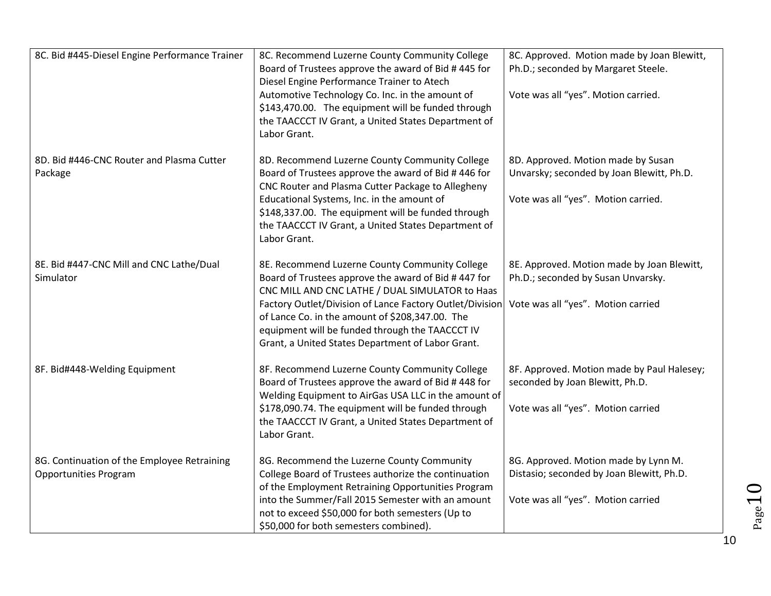| 8C. Bid #445-Diesel Engine Performance Trainer                              | 8C. Recommend Luzerne County Community College<br>Board of Trustees approve the award of Bid #445 for<br>Diesel Engine Performance Trainer to Atech<br>Automotive Technology Co. Inc. in the amount of<br>\$143,470.00. The equipment will be funded through<br>the TAACCCT IV Grant, a United States Department of<br>Labor Grant.                                             | 8C. Approved. Motion made by Joan Blewitt,<br>Ph.D.; seconded by Margaret Steele.<br>Vote was all "yes". Motion carried. |
|-----------------------------------------------------------------------------|---------------------------------------------------------------------------------------------------------------------------------------------------------------------------------------------------------------------------------------------------------------------------------------------------------------------------------------------------------------------------------|--------------------------------------------------------------------------------------------------------------------------|
| 8D. Bid #446-CNC Router and Plasma Cutter<br>Package                        | 8D. Recommend Luzerne County Community College<br>Board of Trustees approve the award of Bid #446 for<br>CNC Router and Plasma Cutter Package to Allegheny<br>Educational Systems, Inc. in the amount of<br>\$148,337.00. The equipment will be funded through<br>the TAACCCT IV Grant, a United States Department of<br>Labor Grant.                                           | 8D. Approved. Motion made by Susan<br>Unvarsky; seconded by Joan Blewitt, Ph.D.<br>Vote was all "yes". Motion carried.   |
| 8E. Bid #447-CNC Mill and CNC Lathe/Dual<br>Simulator                       | 8E. Recommend Luzerne County Community College<br>Board of Trustees approve the award of Bid #447 for<br>CNC MILL AND CNC LATHE / DUAL SIMULATOR to Haas<br>Factory Outlet/Division of Lance Factory Outlet/Division<br>of Lance Co. in the amount of \$208,347.00. The<br>equipment will be funded through the TAACCCT IV<br>Grant, a United States Department of Labor Grant. | 8E. Approved. Motion made by Joan Blewitt,<br>Ph.D.; seconded by Susan Unvarsky.<br>Vote was all "yes". Motion carried   |
| 8F. Bid#448-Welding Equipment                                               | 8F. Recommend Luzerne County Community College<br>Board of Trustees approve the award of Bid #448 for<br>Welding Equipment to AirGas USA LLC in the amount of<br>\$178,090.74. The equipment will be funded through<br>the TAACCCT IV Grant, a United States Department of<br>Labor Grant.                                                                                      | 8F. Approved. Motion made by Paul Halesey;<br>seconded by Joan Blewitt, Ph.D.<br>Vote was all "yes". Motion carried      |
| 8G. Continuation of the Employee Retraining<br><b>Opportunities Program</b> | 8G. Recommend the Luzerne County Community<br>College Board of Trustees authorize the continuation<br>of the Employment Retraining Opportunities Program<br>into the Summer/Fall 2015 Semester with an amount<br>not to exceed \$50,000 for both semesters (Up to<br>\$50,000 for both semesters combined).                                                                     | 8G. Approved. Motion made by Lynn M.<br>Distasio; seconded by Joan Blewitt, Ph.D.<br>Vote was all "yes". Motion carried  |